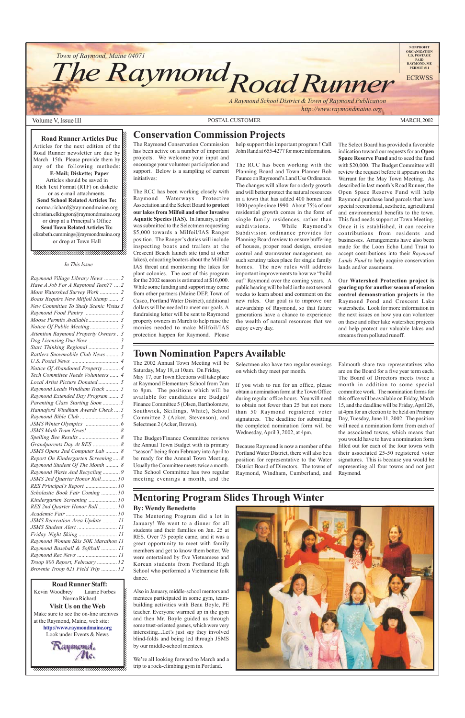*Road Runner Town of Raymond, Maine 04071* **The Raymond** 

*A Raymond School District & Town of Raymond Publication*

 *http://www.raymondmaine.org*

1234567890123456789012345678901212345678901234567 Kevin Woodbrey Laurie Forbes & Laurie Forbes 12345678901234 Norma Richard  $1$  7  $1$  7  $1$  7  $1$  7  $1$  7  $1$  7  $1$  7  $1$  7  $1$  7  $1$  7  $1$  7  $1$  7  $1$  7  $1$  7  $1$  7  $1$  7  $1$  7  $1$  7  $1$  7  $1$  7  $1$  7  $1$  7  $1$  7  $1$  7  $1$  7  $1$  7  $1$  7  $1$  7  $1$  7  $1$  7  $1$  7  $1$  7  $1$  7  $1$  7  $1$  7  $1$  7  $1$  7 1234567890123456789012345678901212345678901234567 **123456791212** Visit Us on the Web Make sure to see the on-line archives  $\boldsymbol{\ell}$ 1234567890123456789012345678901212345678901234567 at the Raymond, Maine, web site:  $\cancel{\epsilon}$ **http://www.raymondmaine.org** Look under Events & News 1234567890123456789012345678901212345678901234567 **Road Runner Staff:**

#### $123345890$ 1234567890123456789012345678901212345678901234567 1234567890123456789012345678901212345678901234567 **Road Runner Articles Due** 1234567890123456789012345678901212345678901234567 Articles for the next edition of the  $\mathscr{C}$ 1 7

Road Runner newsletter are due by  $\&$ 1234567890123456789012345678901212345678901234567 March 15th. Please provide them by  $\mathscr{G}$ any of the following methods: **E-Mail; Diskette; Paper** Articles should be saved in  $\%$ 1234567890123456789012345678901212345678901234567 Rich Text Format (RTF) on diskette  $\mathcal{Z}$ 1234567890123456789012345678901212345678901234567 or as e-mail attachments.  $\%$ **Send School Related Articles To:** norma.richard@raymondmaine.org 1234567890123456789012345678901212345678901234567 christian.elkington@raymondmaine.org or drop at a Principal's Office  $\mathscr{C}$ **Send Town Related Articles To:**  $\text{elizable}$ th.cummings@raymondmaine.org or drop at Town Hall



1 7 1234567890123456789012345678901212345678901234567 **NONPROFIT ORGANIZATION U.S. POSTAGE PAID RAYMOND, ME PERMIT #11**

ECRWSS

### Volume V, Issue III MARCH, 2002

1234567890123456789012345678901212345678901234567  $1$  7  $17$  7  $17$  7  $17$  7  $17$  7  $17$  7  $17$  7  $17$  7  $17$  7  $17$  7  $17$  7  $17$  7  $17$  7  $17$  7  $17$  7  $17$  7  $17$  7  $17$  7  $17$  7  $17$  7  $17$  7  $17$  7  $17$  7  $17$  7  $17$  7  $17$  7  $17$  7  $17$  7  $17$  7  $17$  7  $17$  7  $17$  1234567890123456789012345678901212345678901234567 1234567890123456789012345678901212345678901234567 1234567890123456789012345678901212345678901234567 1234567890123456789012345678901212345678901234567

# **Town Nomination Papers Available**

The 2002 Annual Town Meeting will be Saturday, May 18, at 10am. On Friday, May 17, our Town Elections will take place at Raymond Elementary School from 7am to 8pm. The positions which will be available for candidates are Budget/ Finance Committee 5 (Olsen, Bartholomew, Southwick, Skillings, White), School Committee 2 (Acker, Stevenson), and Selectmen 2 (Acker, Brown).

The Budget/Finance Committee reviews the Annual Town Budget with its primary "season" being from February into April to be ready for the Annual Town Meeting. Usually the Committee meets twice a month. The School Committee has two regular meeting evenings a month, and the

Selectmen also have two regular evenings on which they meet per month.

If you wish to run for an office, please obtain a nomination form at the Town Office during regular office hours. You will need to obtain not fewer than 25 but not more than 50 Raymond registered voter signatures. The deadline for submitting the completed nomination form will be Wednesday, April 3, 2002, at 4pm.

Because Raymond is now a member of the Portland Water District, there will also be a position for representative to the Water District Board of Directors. The towns of Raymond, Windham, Cumberland, and

# **Mentoring Program Slides Through Winter**

## **By: Wendy Benedetto**

**Conservation Commission Projects** The Raymond Conservation Commission has been active on a number of important projects. We welcome your input and encourage your volunteer participation and support. Below is a sampling of current initiatives:

The RCC has been working closely with Raymond Waterways Protective Association and the Select Board **to protect our lakes from Milfoil and other Invasive Aquatic Species (IAS).** In January, a plan was submitted to the Selectmen requesting \$5,000 towards a Milfoil/IAS Ranger position. The Ranger's duties will include inspecting boats and trailers at the Crescent Beach launch site (and at other lakes), educating boaters about the Milfoil/ IAS threat and monitoring the lakes for plant colonies. The cost of this program for the 2002 season is estimated at \$16,000. While some funding and support may come from other partners (Maine DEP, Town of Casco, Portland Water District), additional dollars will be needed to meet our goals. A fundraising letter will be sent to Raymond property owners in March to help raise the monies needed to make Milfoil/IAS protection happen for Raymond. Please

help support this important program ! Call John Rand at 655-4277 for more information.

The RCC has been working with the Planning Board and Town Planner Bob Faunce on Raymond's Land Use Ordinance. The changes will allow for orderly growth and will better protect the natural resources in a town that has added 400 homes and 1000 people since 1990. About 75% of our residential growth comes in the form of single family residences, rather than subdivisions. While Raymond's Subdivision ordinance provides for Planning Board review to ensure buffering of houses, proper road design, erosion control and stormwater management, no such scrutiny takes place for single family homes. The new rules will address important improvements to how we "build out" Raymond over the coming years. A public hearing will be held in the next several weeks to learn about and comment on the new rules. Our goal is to improve our stewardship of Raymond, so that future generations have a chance to experience the wealth of natural resources that we enjoy every day.

The Select Board has provided a favorable indication toward our requests for an **Open Space Reserve Fund** and to seed the fund with \$20,000. The Budget Committee will review the request before it appears on the Warrant for the May Town Meeting. As described in last month's Road Runner, the Open Space Reserve Fund will help Raymond purchase land parcels that have special recreational, aesthetic, agricultural and environmental benefits to the town. This fund needs support at Town Meeting. Once it is established, it can receive contributions from residents and businesses. Arrangements have also been made for the Loon Echo Land Trust to accept contributions into their *Raymond Lands Fund* to help acquire conservation lands and/or easements.

Our **Watershed Protection project is gearing up for another season of erosion control demonstration projects** in the Raymond Pond and Crescent Lake watersheds. Look for more information in the next issues on how you can volunteer on these and other lake watershed projects and help protect our valuable lakes and streams from polluted runoff.

The Mentoring Program did a lot in January! We went to a dinner for all students and their families on Jan. 25 at RES. Over 75 people came, and it was a great opportunity to meet with family members and get to know them better. We were entertained by five Vietnamese and Korean students from Portland High School who performed a Vietnamese folk dance.



Also in January, middle-school mentors and mentees participated in some gym, teambuilding activities with Beau Boyle, PE teacher. Everyone warmed up in the gym and then Mr. Boyle guided us through some trust-oriented games, which were very interesting...Let's just say they involved blind-folds and being led through JSMS by our middle-school mentees.

We're all looking forward to March and a trip to a rock-climbing gym in Portland.

Falmouth share two representatives who are on the Board for a five year term each. The Board of Directors meets twice a month in addition to some special committee work. The nomination forms for this office will be available on Friday, March 15, and the deadline will be Friday, April 26, at 4pm for an election to be held on Primary Day, Tuesday, June 11, 2002. The position will need a nomination form from each of the associated towns, which means that you would have to have a nomination form filled out for each of the four towns with their associated 25-50 registered voter signatures. This is because you would be representing all four towns and not just Raymond.

#### *In This Issue*

| Raymond Village Library News  2        |  |
|----------------------------------------|--|
| Have A Job For A Raymond Teen??  2     |  |
| More Watershed Survey Work  2          |  |
| Boats Require New Milfoil Stamp  3     |  |
| New Committee To Study Scenic Vistas 3 |  |
| Raymond Food Pantry  3                 |  |
| Moose Permits Available 3              |  |
| Notice Of Public Meeting 3             |  |
| Attention Raymond Property Owners  3   |  |
| Dog Licensing Due Now  3               |  |
| Start Thinking Regional  3             |  |
| Rattlers Snowmobile Club News 3        |  |
|                                        |  |
| Notice Of Abandoned Property 4         |  |
| Tech Committee Needs Volunteers  4     |  |
| Local Artist Picture Donated  5        |  |
| Raymond Leads Windham Track  5         |  |
| Raymond Extended Day Program  5        |  |
| Parenting Class Starting Soon  5       |  |
| Hannaford Windham Awards Check  5      |  |
|                                        |  |
|                                        |  |
| JSMS Math Team News!  8                |  |
|                                        |  |
| Grandparents Day At RES  8             |  |
| JSMS Opens 2nd Computer Lab  8         |  |
| Report On Kindergarten Screening 8     |  |
| Raymond Student Of The Month  8        |  |
| Raymond Waste And Recycling  9         |  |
| JSMS 2nd Quarter Honor Roll 10         |  |
| RES Principal's Report 10              |  |
| Scholastic Book Fair Coming 10         |  |
| Kindergarten Screening  10             |  |
| RES 2nd Quarter Honor Roll  10         |  |
|                                        |  |
| JSMS Recreation Area Update  11        |  |
| JSMS Student Alert  11                 |  |
| Friday Night Skiing  11                |  |
| Raymond Woman Skis 50K Marathon 11     |  |
| Raymond Baseball & Softball  11        |  |
| Raymond Rec News  11                   |  |
| Troop 800 Report, February  12         |  |
| Brownie Troop 621 Field Trip  12       |  |
|                                        |  |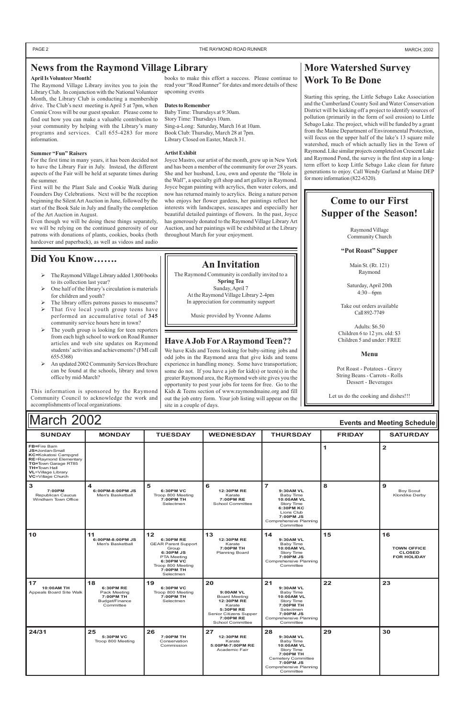| March 2002<br><b>Events and Meeting Schedule</b>                                                                                                                                       |                                                                             |                                                                                                                                                       |                                                                                                                                         |                                                                                                                                                        |               |                                                                 |
|----------------------------------------------------------------------------------------------------------------------------------------------------------------------------------------|-----------------------------------------------------------------------------|-------------------------------------------------------------------------------------------------------------------------------------------------------|-----------------------------------------------------------------------------------------------------------------------------------------|--------------------------------------------------------------------------------------------------------------------------------------------------------|---------------|-----------------------------------------------------------------|
| <b>SUNDAY</b>                                                                                                                                                                          | <b>MONDAY</b>                                                               | <b>TUESDAY</b>                                                                                                                                        | <b>WEDNESDAY</b>                                                                                                                        | <b>THURSDAY</b>                                                                                                                                        | <b>FRIDAY</b> | <b>SATURDAY</b>                                                 |
| FB=Fire Barn<br>JS=Jordan-Small<br>KC=Kokatosi Campgnd<br><b>RE=Raymond Elementary</b><br>TG=Town Garage RT85<br><b>TH=Town Hall</b><br><b>VL=Village Library</b><br>VC=Village Church |                                                                             |                                                                                                                                                       |                                                                                                                                         |                                                                                                                                                        | $\mathbf{1}$  | $\mathbf{2}$                                                    |
| 3<br>7:00PM<br>Republican Caucus<br>Windham Town Office                                                                                                                                | $\blacktriangle$<br>6:00PM-8:00PM JS<br>Men's Basketball                    | 5<br>6:30PM VC<br>Troop 800 Meeting<br>7:00PM TH<br>Selectmen                                                                                         | 6<br>12:30PM RE<br>Karate<br>7:00PM RE<br><b>School Committee</b>                                                                       | $\overline{7}$<br>9:30AM VL<br>Baby Time<br>10:00AM VL<br>Story Time<br>6:30PM KC<br>Lions Club<br>7:00PM JS<br>Comprehensive Planning<br>Committee    | 8             | 9<br><b>Boy Scout</b><br><b>Klondike Derby</b>                  |
| 10                                                                                                                                                                                     | 11<br>6:00PM-8:00PM JS<br>Men's Basketball                                  | 12<br>6:30PM RE<br><b>GEAR Parent Support</b><br>Group<br>6:30PM JS<br><b>PTA Meeting</b><br>6:30PM VC<br>Troop 800 Meeting<br>7:00PM TH<br>Selectmen | 13<br><b>12:30PM RE</b><br>Karate<br>7:00PM TH<br><b>Planning Board</b>                                                                 | $14$<br>9:30AM VL<br>Baby Time<br>10:00AM VL<br>Story Time<br>7:00PM JS<br>Comprehensive Planning<br>Committee                                         | 15            | 16<br><b>TOWN OFFICE</b><br><b>CLOSED</b><br><b>FOR HOLIDAY</b> |
| 17<br>10:00AM TH<br>Appeals Board Site Walk                                                                                                                                            | 18<br>6:30PM RE<br>Pack Meeting<br>7:00PM TH<br>Budget/Finance<br>Committee | 19<br>6:30PM VC<br>Troop 800 Meeting<br>7:00PM TH<br>Selectmen                                                                                        | 20<br>9:00AM VL<br><b>Board Meeting</b><br>12:30PM RE<br>Karate<br>5:30PM RE<br>Senior Citizens Supper<br>7:00PM RE<br>School Committee | 21<br>9:30AM VL<br>Baby Time<br>10:00AM VL<br>Story Time<br>7:00PM TH<br>Selectmen<br>7:00PM JS<br>Comprehensive Planning<br>Committee                 | 22            | 23                                                              |
| 24/31                                                                                                                                                                                  | 25<br>5:30PM VC<br>Troop 800 Meeting                                        | 26<br>7:00PM TH<br>Conservation<br>Commission                                                                                                         | 27<br>12:30PM RE<br>Karate<br>5:00PM-7:00PM RE<br>Academic Fair                                                                         | 28<br>9:30AM VL<br>Baby Time<br>10:00AM VL<br>Story Time<br>7:00PM TH<br><b>Cemetery Committee</b><br>7:00PM JS<br>Comprehensive Planning<br>Committee | 29            | 30                                                              |



# **More Watershed Survey Work To Be Done**

Starting this spring, the Little Sebago Lake Association and the Cumberland County Soil and Water Conservation District will be kicking off a project to identify sources of pollution (primarily in the form of soil erosion) to Little Sebago Lake. The project, which will be funded by a grant from the Maine Department of Environmental Protection, will focus on the upper half of the lake's 13 square mile watershed, much of which actually lies in the Town of Raymond. Like similar projects completed on Crescent Lake and Raymond Pond, the survey is the first step in a longterm effort to keep Little Sebago Lake clean for future generations to enjoy. Call Wendy Garland at Maine DEP for more information (822-6320).

- $\triangleright$  The Raymond Village Library added 1,800 books to its collection last year?
- One half of the library's circulation is materials for children and youth?
- The library offers patrons passes to museums?  $\triangleright$  That five local youth group teens have
- performed an accumulative total of **345** community service hours here in town?
- The youth group is looking for teen reporters from each high school to work on Road Runner articles and web site updates on Raymond students' activities and achievements? (FMI call 655-5368)
- ¾ An updated 2002 Community Services Brochure can be found at the schools, library and town office by mid-March?

Saturday, April 20th  $4:30 - 6$ pm

PAGE 2 **THE RAYMOND ROAD RUNNER MARCH, 2002** MARCH, 2002

**News from the Raymond Village Library**

#### **April Is Volunteer Month!**

The Raymond Village Library invites you to join the Library Club. In conjunction with the National Volunteer Month, the Library Club is conducting a membership drive. The Club's next meeting is April 5 at 7pm, when Connie Cross will be our guest speaker. Please come to find out how you can make a valuable contribution to your community by helping with the Library's many programs and services. Call 655-4283 for more information.

#### **Summer "Fun" Raisers**

For the first time in many years, it has been decided not to have the Library Fair in July. Instead, the different aspects of the Fair will be held at separate times during the summer.

First will be the Plant Sale and Cookie Walk during Founders Day Celebrations. Next will be the reception beginning the Silent Art Auction in June, followed by the start of the Book Sale in July and finally the completion of the Art Auction in August.

Even though we will be doing these things separately, we will be relying on the continued generosity of our patrons with donations of plants, cookies, books (both hardcover and paperback), as well as videos and audio

# **Did You Know…….**

This information is sponsored by the Raymond Community Council to acknowledge the work and accomplishments of local organizations.

### **An Invitation**

The Raymond Community is cordially invited to a **Spring Tea** Sunday, April 7 At the Raymond Village Library 2-4pm In appreciation for community support

Music provided by Yvonne Adams

# **Come to our First Supper of the Season!**

Raymond Village Community Church

### **"Pot Roast" Supper**

Main St. (Rt. 121) Raymond

Take out orders available Call 892-7749

Adults: \$6.50 Children 6 to 12 yrs. old: \$3 Children 5 and under: FREE

#### **Menu**

Pot Roast - Potatoes - Gravy String Beans - Carrots - Rolls Dessert - Beverages

Let us do the cooking and dishes!!!

## **Have A Job For A Raymond Teen??**

We have Kids and Teens looking for baby-sitting jobs and odd jobs in the Raymond area that give kids and teens experience in handling money. Some have transportation; some do not. If you have a job for kid(s) or teen(s) in the greater Raymond area, the Raymond web site gives you the opportunity to post your jobs for teens for free. Go to the Kids & Teens section of www.raymondmaine.org and fill out the job entry form. Your job listing will appear on the site in a couple of days.

books to make this effort a success. Please continue to read your "Road Runner" for dates and more details of these upcoming events

#### **Dates to Remember**

Baby Time: Thursdays at 9:30am. Story Time: Thursdays 10am. Sing-a-Long: Saturday, March 16 at 10am. Book Club: Thursday, March 28 at 7pm. Library Closed on Easter, March 31.

#### **Artist Exhibit**

Joyce Mastro, our artist of the month, grew up in New York and has been a member of the community for over 28 years. She and her husband, Lou, own and operate the "Hole in the Wall", a specialty gift shop and art gallery in Raymond. Joyce began painting with acrylics, then water colors, and now has returned mainly to acrylics. Being a nature person who enjoys her flower gardens, her paintings reflect her interests with landscapes, seascapes and especially her beautiful detailed paintings of flowers. In the past, Joyce has generously donated to the Raymond Village Library Art Auction, and her paintings will be exhibited at the Library throughout March for your enjoyment.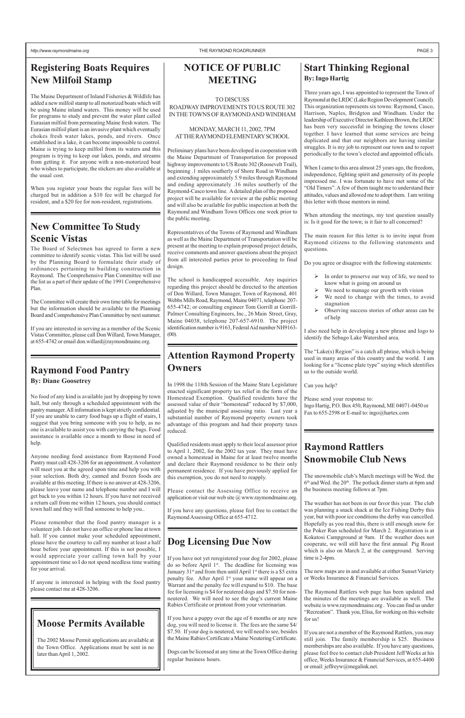# **Dog Licensing Due Now**

If you have not yet reregistered your dog for 2002, please do so before April 1<sup>st</sup>. The deadline for licensing was January  $31<sup>st</sup>$  and from then until April  $1<sup>st</sup>$  there is a \$5 extra penalty fee. After April 1<sup>st</sup> your name will appear on a Warrant and the penalty fee will expand to \$10. The base fee for licensing is \$4 for neutered dogs and \$7.50 for nonneutered. We will need to see the dog's current Maine Rabies Certificate or printout from your veterinarian.

If you have a puppy over the age of 6 months or any new dog, you will need to license it. The fees are the same \$4/ \$7.50. If your dog is neutered, we will need to see, besides the Maine Rabies Certificate a Maine Neutering Certificate.

Dogs can be licensed at any time at the Town Office during regular business hours.

# **Raymond Food Pantry**

**By: Diane Goosetrey**

No food of any kind is available just by dropping by town hall, but only through a scheduled appointment with the pantry manager. All information is kept strictly confidential. If you are unable to carry food bags up a flight of stairs, I suggest that you bring someone with you to help, as no one is available to assist you with carrying the bags. Food assistance is available once a month to those in need of help.

> Please contact the Assessing Office to receive an application or visit our web site @ www.raymondmaine.org.

Anyone needing food assistance from Raymond Food Pantry must call 428-3206 for an appointment. A volunteer will meet you at the agreed upon time and help you with your selection. Both dry, canned and frozen foods are available at this meeting. If there is no answer at 428-3206, please leave your name and telephone number and I will get back to you within 12 hours. If you have not received a return call from me within 12 hours, you should contact town hall and they will find someone to help you..

Please remember that the food pantry manager is a volunteer job. I do not have an office or phone line at town hall. If you cannot make your scheduled appointment, please have the courtesy to call my number at least a half hour before your appointment. If this is not possible, I would appreciate your calling town hall by your appointment time so I do not spend needless time waiting for your arrival.

If anyone is interested in helping with the food pantry please contact me at 428-3206.

# **Attention Raymond Property Owners**

In 1998 the 118th Session of the Maine State Legislature enacted significant property tax relief in the form of the Homestead Exemption. Qualified residents have the assessed value of their "homestead" reduced by \$7,000, adjusted by the municipal assessing ratio. Last year a substantial number of Raymond property owners took advantage of this program and had their property taxes reduced.

Qualified residents must apply to their local assessor prior to April 1, 2002, for the 2002 tax year. They must have owned a homestead in Maine for at least twelve months and declare their Raymond residence to be their only permanent residence. If you have previously applied for this exemption, you do not need to reapply.

If you have any questions, please feel free to contact the Raymond Assessing Office at 655-4712.

The Maine Department of Inland Fisheries & Wildlife has added a new milfoil stamp to all motorized boats which will be using Maine inland waters. This money will be used for programs to study and prevent the water plant called Eurasian milfoil from permeating Maine fresh waters. The Eurasian milfoil plant is an invasive plant which eventually chokes fresh water lakes, ponds, and rivers. Once established in a lake, it can become impossible to control. Maine is trying to keep milfoil from its waters and this program is trying to keep our lakes, ponds, and streams from getting it. For anyone with a non-motorized boat who wishes to participate, the stickers are also available at the usual cost.

- $\triangleright$  In order to preserve our way of life, we need to know what is going on around us
- We need to manage our growth with vision
- We need to change with the times, to avoid stagnation
- $\triangleright$  Observing success stories of other areas can be of help

Please send your response to: Ingo Hartig, P.O. Box 450, Raymond, ME 04071-0450 or Fax to 655-2598 or E-mail to: ingo@hartex.com

When you register your boats the regular fees will be charged but in addition a \$10 fee will be charged for resident, and a \$20 fee for non-resident, registrations.

# **New Committee To Study Scenic Vistas**

The Board of Selectmen has agreed to form a new committee to identify scenic vistas. This list will be used by the Planning Board to formulate their study of ordinances pertaining to building construction in Raymond. The Comprehensive Plan Committee will use the list as a part of their update of the 1991 Comprehensive Plan.

The Committee will create their own time table for meetings but the information should be available to the Planning Board and Comprehensive Plan Committee by next summer.

If you are interested in serving as a member of the Scenic Vistas Committee, please call Don Willard, Town Manager, at 655-4742 or email don.willard@raymondmaine.org.

# **Raymond Rattlers Snowmobile Club News**

The snowmobile club's March meetings will be Wed. the  $6<sup>th</sup>$  and Wed. the 20<sup>th</sup>. The potluck dinner starts at 6pm and the business meeting follows at 7pm.

The weather has not been in our favor this year. The club was planning a snack shack at the Ice Fishing Derby this year, but with poor ice conditions the derby was cancelled. Hopefully as you read this, there is still enough snow for the Poker Run scheduled for March 2. Registration is at Kokatosi Campground at 9am. If the weather does not cooperate, we will still have the first annual Pig Roast which is also on March 2, at the campground. Serving time is 2-4pm.

The new maps are in and available at either Sunset Variety or Weeks Insurance & Financial Services.

The Raymond Rattlers web page has been updated and the minutes of the meetings are available as well. The website is www.raymondmaine.org . You can find us under "Recreation". Thank you, Elisa, for working on this website for us!

If you are not a member of the Raymond Rattlers, you may still join. The family membership is \$25. Business memberships are also available. If you have any questions, please feel free to contact club President Jeff Weeks at his office, Weeks Insurance & Financial Services, at 655-4400 or email: jeffreyw@megalink.net.

# **Start Thinking Regional By: Ingo Hartig**

Three years ago, I was appointed to represent the Town of Raymond at the LRDC (Lake Region Development Council). This organization represents six towns: Raymond, Casco, Harrison, Naples, Bridgton and Windham. Under the leadership of Executive Director Kathleen Brown, the LRDC has been very successful in bringing the towns closer together. I have learned that some services are being duplicated and that our neighbors are having similar struggles. It is my job to represent our town and to report periodically to the town's elected and appointed officials.

When I came to this area almost 25 years ago, the freedom, independence, fighting spirit and generosity of its people impressed me. I was fortunate to have met some of the "Old Timers". A few of them taught me to understand their attitudes, values and allowed me to adopt them. I am writing this letter with those mentors in mind.

When attending the meetings, my test question usually is: Is it good for the town; is it fair to all concerned?

The main reason for this letter is to invite input from Raymond citizens to the following statements and questions.

Do you agree or disagree with the following statements:

I also need help in developing a new phrase and logo to identify the Sebago Lake Watershed area.

The "Lake(s) Region" is a catch all phrase, which is being used in many areas of this country and the world. I am looking for a "license plate type" saying which identifies us to the outside world.

Can you help?

# **NOTICE OF PUBLIC MEETING**

TO DISCUSS ROADWAY IMPROVEMENTS TO US ROUTE 302 IN THE TOWNS OF RAYMOND AND WINDHAM

### MONDAY, MARCH 11, 2002, 7PM AT THE RAYMOND ELEMENTARY SCHOOL

Preliminary plans have been developed in cooperation with the Maine Department of Transportation for proposed highway improvements to US Route 302 (Roosevelt Trail), beginning .1 miles southerly of Shore Road in Windham and extending approximately 5.9 miles through Raymond and ending approximately .16 miles southerly of the Raymond-Casco town line. A detailed plan of the proposed project will be available for review at the public meeting and will also be available for public inspection at both the Raymond and Windham Town Offices one week prior to the public meeting.

Representatives of the Towns of Raymond and Windham as well as the Maine Department of Transportation will be present at the meeting to explain proposed project details, receive comments and answer questions about the project from all interested parties prior to proceeding to final design.

The school is handicapped accessible. Any inquiries regarding this project should be directed to the attention of Don Willard, Town Manager, Town of Raymond, 401 Webbs Mills Road, Raymond, Maine 04071, telephone 207- 655-4742; or consulting engineer Tom Gorrill at Gorrill-Palmer Consulting Engineers, Inc., 26 Main Street, Gray, Maine 04038, telephone 207-657-6910. The project identification number is 9163, Federal Aid number NH9163- (00).

# **Moose Permits Available**

The 2002 Moose Permit applications are available at the Town Office. Applications must be sent in no later than April 1, 2002.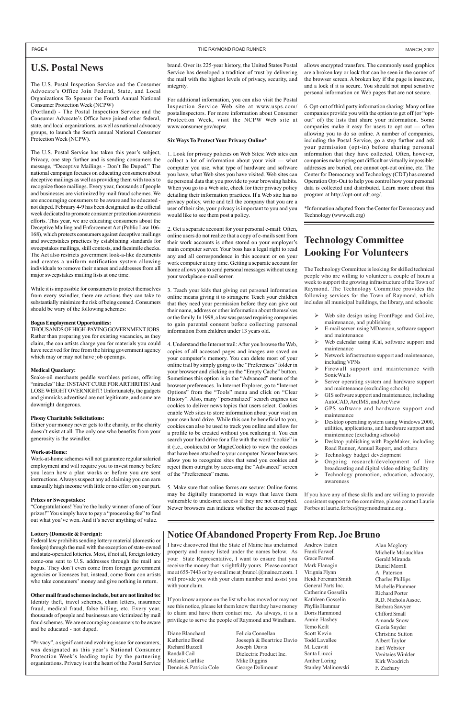# **U.S. Postal News**

The U.S. Postal Inspection Service and the Consumer Advocate's Office Join Federal, State, and Local Organizations To Sponsor the Fourth Annual National Consumer Protection Week (NCPW)

(Portland) - The Postal Inspection Service and the Consumer Advocate's Office have joined other federal, state, and local organizations, as well as national advocacy groups, to launch the fourth annual National Consumer Protection Week (NCPW).

The U.S. Postal Service has taken this year's subject, Privacy, one step further and is sending consumers the message, "Deceptive Mailings - Don't Be Duped." The national campaign focuses on educating consumers about deceptive mailings as well as providing them with tools to recognize those mailings. Every year, thousands of people and businesses are victimized by mail fraud schemes. We are encouraging consumers to be aware and be educated not duped. February 4-9 has been designated as the official week dedicated to promote consumer protection awareness efforts. This year, we are educating consumers about the Deceptive Mailing and Enforcement Act (Public Law 106- 168), which protects consumers against deceptive mailings and sweepstakes practices by establishing standards for sweepstakes mailings, skill contests, and facsimile checks. The Act also restricts government look-a-like documents and creates a uniform notification system allowing individuals to remove their names and addresses from all major sweepstakes mailing lists at one time.

While it is impossible for consumers to protect themselves from every swindler, there are actions they can take to substantially minimize the risk of being conned. Consumers should be wary of the following schemes:

#### **Bogus Employment Opportunities:**

THOUSANDS OF HIGH-PAYING GOVERNMENT JOBS. Rather than preparing you for existing vacancies, as they claim, the con artists charge you for materials you could have received for free from the hiring government agency which may or may not have job openings.

#### **Medical Quackery:**

Snake-oil merchants peddle worthless potions, offering "miracles" like: INSTANT CURE FOR ARTHRITIS! And LOSE WEIGHT OVERNIGHT! Unfortunately, the gadgets and gimmicks advertised are not legitimate, and some are downright dangerous.

#### **Phony Charitable Solicitations:**

Either your money never gets to the charity, or the charity doesn't exist at all. The only one who benefits from your generosity is the swindler.

#### **Work-at-Home:**

Work-at-home schemes will not guarantee regular salaried employment and will require you to invest money before you learn how a plan works or before you are sent instructions. Always suspect any ad claiming you can earn unusually high income with little or no effort on your part.

#### **Prizes or Sweepstakes:**

"Congratulations! You're the lucky winner of one of four prizes!" You simply have to pay a "processing fee" to find out what you've won. And it's never anything of value.

#### **Lottery (Domestic & Foreign):**

Federal law prohibits sending lottery material (domestic or foreign) through the mail with the exception of state-owned and state-operated lotteries. Most, if not all, foreign lottery come-ons sent to U.S. addresses through the mail are bogus. They don't even come from foreign government agencies or licensees but, instead, come from con artists who take consumers' money and give nothing in return.

#### **Other mail fraud schemes include, but are not limited to:**

Identity theft, travel schemes, chain letters, insurance fraud, medical fraud, false billing, etc. Every year, thousands of people and businesses are victimized by mail fraud schemes. We are encouraging consumers to be aware and be educated - not duped.

"Privacy", a significant and evolving issue for consumers, was designated as this year's National Consumer Protection Week's leading topic by the partnering organizations. Privacy is at the heart of the Postal Service

brand. Over its 225-year history, the United States Postal Service has developed a tradition of trust by delivering the mail with the highest levels of privacy, security, and integrity.

For additional information, you can also visit the Postal Inspection Service Web site at www.usps.com/ postalinspectors. For more information about Consumer Protection Week, visit the NCPW Web site at www.consumer.gov/ncpw.

#### **Six Ways To Protect Your Privacy Online\***

1. Look for privacy policies on Web Sites: Web sites can collect a lot of information about your visit — what computer you use, what type of hardware and software you have, what Web sites you have visited. Web sites can tie personal data that you provide to your browsing habits. When you go to a Web site, check for their privacy policy detailing their information practices. If a Web site has no privacy policy, write and tell the company that you are a user of their site, your privacy is important to you and you would like to see them post a policy.

- $\triangleright$  Web site design using FrontPage and GoLive, maintenance, and publishing
- ¾ E-mail server using MDaemon, software support and maintenance
- Web calendar using iCal, software support and maintenance
- Network infrastructure support and maintenance, including VPNs
- Firewall support and maintenance with SonicWalls
- Server operating system and hardware support and maintenance (excluding schools)
- GIS software support and maintenance, including AutoCAD, ArcIMS, and ArcView
- GPS software and hardware support and maintenance
- Desktop operating system using Windows 2000, utilities, applications, and hardware support and maintenance (excluding schools)
- Desktop publishing with PageMaker, including Road Runner, Annual Report, and others
- Technology budget development
- Ongoing research/development of live broadcasting and digital video editing facility
- Technology promotion, education, advocacy, awareness

If you have any of these skills and are willing to provide consistent support to the committee, please contact Laurie Forbes at laurie.forbes@raymondmaine.org.

2. Get a separate account for your personal e-mail: Often, online users do not realize that a copy of e-mails sent from their work accounts is often stored on your employer's main computer server. Your boss has a legal right to read any and all correspondence in this account or on your work computer at any time. Getting a separate account for home allows you to send personal messages without using your workplace e-mail server.

3. Teach your kids that giving out personal information online means giving it to strangers: Teach your children that they need your permission before they can give out their name, address or other information about themselves or the family. In 1998, a law was passed requiring companies to gain parental consent before collecting personal information from children under 13 years old.

4. Understand the Internet trail: After you browse the Web, copies of all accessed pages and images are saved on your computer's memory. You can delete most of your online trail by simply going to the "Preferences" folder in your browser and clicking on the "Empty Cache" button. Sometimes this option is in the "Advanced" menu of the browser preferences. In Internet Explorer, go to "Internet Options" from the "Tools" menu and click on "Clear History". Also, many "personalized" search engines use cookies to deliver news topics that users select. Cookies enable Web sites to store information about your visit on your own hard drive. While this can be beneficial to you, cookies can also be used to track you online and allow for a profile to be created without you realizing it. You can search your hard drive for a file with the word "cookie" in it (i.e., cookies.txt or MagicCookie) to view the cookies that have been attached to your computer. Newer browsers allow you to recognize sites that send you cookies and reject them outright by accessing the "Advanced" screen of the "Preferences" menu.

5. Make sure that online forms are secure: Online forms may be digitally transported in ways that leave them vulnerable to undesired access if they are not encrypted. Newer browsers can indicate whether the accessed page allows encrypted transfers. The commonly used graphics are a broken key or lock that can be seen in the corner of the browser screen. A broken key if the page is insecure, and a lock if it is secure. You should not input sensitive personal information on Web pages that are not secure.

6. Opt-out of third party information sharing: Many online companies provide you with the option to get off (or "optout" of) the lists that share your information. Some companies make it easy for users to opt out — often allowing you to do so online. A number of companies, including the Postal Service, go a step further and ask your permission (opt-in) before sharing personal information that they have collected. Often, however, companies make opting out difficult or virtually impossible: addresses are buried, one cannot opt-out online, etc. The Center for Democracy and Technology (CDT) has created Operation Opt-Out to help you control how your personal data is collected and distributed. Learn more about this program at http://opt-out.cdt.org/.

\*Information adapted from the Center for Democracy and Technology (www.cdt.org)

# **Technology Committee Looking For Volunteers**

The Technology Committee is looking for skilled technical people who are willing to volunteer a couple of hours a week to support the growing infrastructure of the Town of Raymond. The Technology Committee provides the following services for the Town of Raymond, which includes all municipal buildings, the library, and schools:

# **Notice Of Abandoned Property From Rep. Joe Bruno**

Diane Blanchard Katherine Bond Richard Buzzell Randall Cail Melanie Carlilse Dennis & Patricia Cole Felicia Connellan Joeseph & Beartrice Davio Joseph Davis Dielectric Product Inc. Mike Diggins George Dolimount

Andrew Eaton Frank Farwell Grace Farwell Mark Flanagin Virignia Flynn Heidi Foreman Smith General Parts Inc. Catherine Gosselin Kathleen Gosselin Phyllis Hammar Doris Hammond Annie Hashey Temo Keilt Scott Kevin Todd Lavallee M. Leavitt Santa Liucci Amber Loring Stanley Malinowski

Alan Mcglory Michelle Mclauchlan Gerald Miranda Daniel Morrill A. Paterson Charles Phillips Michelle Plummer Richard Porter R.D. Nichols Assoc. Barbara Sawyer Clifford Small Amanda Snow Gloria Snyder Christine Sutton Albert Taylor Earl Webster Venitaies Winkler Kirk Woodrich F. Zachary

I have discovered that the State of Maine has unclaimed property and money listed under the names below. As your State Representative, I want to ensure that you receive the money that is rightfully yours. Please contact me at 655-7443 or by e-mail me at jbruno1@maine.rr.com. I will provide you with your claim number and assist you with your claim.

If you know anyone on the list who has moved or may not see this notice, please let them know that they have money to claim and have them contact me. As always, it is a privilege to serve the people of Raymond and Windham.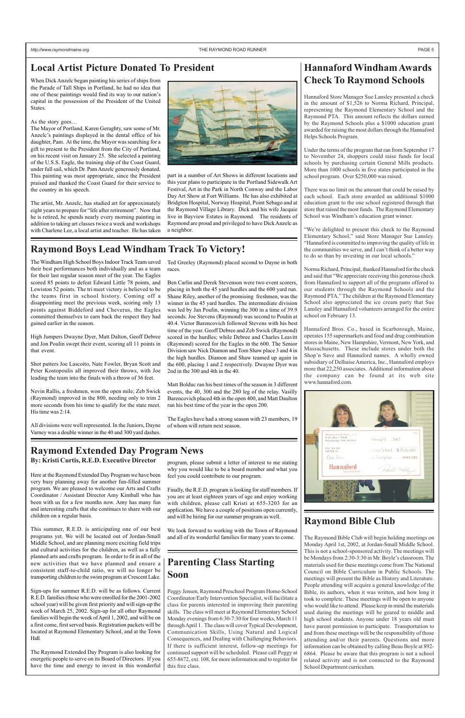# Local Artist Picture Donated To President **Hannaford Windham Awards**

# **Check To Raymond Schools**

Hannaford Store Manager Sue Lansley presented a check in the amount of \$1,526 to Norma Richard, Principal, representing the Raymond Elementary School and the Raymond PTA. This amount reflects the dollars earned by the Raymond Schools plus a \$1000 education grant awarded for raising the most dollars through the Hannaford Helps Schools Program.

Under the terms of the program that ran from September 17 to November 24, shoppers could raise funds for local schools by purchasing certain General Mills products. More than 1000 schools in five states participated in the school program. Over \$250,000 was raised.

There was no limit on the amount that could be raised by each school. Each store awarded an additional \$1000 education grant to the one school registered through that store that raised the most funds. The Raymond Elementary School was Windham's education grant winner.

"We're delighted to present this check to the Raymond Elementary School," said Store Manager Sue Lansley. "Hannaford is committed to improving the quality of life in the communities we serve, and I can't think of a better way to do so than by investing in our local schools."

Norma Richard, Principal, thanked Hannaford for the check and said that "We appreciate receiving this generous check from Hannaford to support all of the programs offered to our students through the Raymond Schools and the Raymond PTA." The children at the Raymond Elementary School also appreciated the ice cream party that Sue Lansley and Hannaford volunteers arranged for the entire school on February 13.

Hannaford Bros. Co., based in Scarborough, Maine, operates 155 supermarkets and food and drug combination stores in Maine, New Hampshire, Vermont, New York, and Massachusetts. These include stores under both the Shop'n Save and Hannaford names. A wholly owned subsidiary of Delhaise America, Inc., Hannaford employs more that 22,250 associates. Additional information about the company can be found at its web site www.hannaford.com.



When Dick Anzelc began painting his series of ships from the Parade of Tall Ships in Portland, he had no idea that one of these paintings would find its way to our nation's capital in the possession of the President of the United **States**.

# **Raymond Boys Lead Windham Track To Victory!**

# **Raymond Bible Club**

The Raymond Bible Club will begin holding meetings on Monday April 1st, 2002, at Jordan-Small Middle School. This is not a school-sponsored activity. The meetings will be Mondays from 2:30-3:30 in Mr. Boyle's classroom. The materials used for these meetings come from The National Council on Bible Curriculum in Public Schools. The meetings will present the Bible as History and Literature. People attending will acquire a general knowledge of the Bible, its authors, when it was written, and how long it took to complete. These meetings will be open to anyone who would like to attend. Please keep in mind the materials used during the meetings will be geared to middle and high school students. Anyone under 18 years old must have parent permission to participate. Transportation to and from these meetings will be the responsibility of those attending and/or their parents. Questions and more information can be obtained by calling Beau Boyle at 892- 6864. Please be aware that this program is not a school related activity and is not connected to the Raymond School Department curriculum.

# **Raymond Extended Day Program News**

# **Parenting Class Starting Soon**

Peggy Jensen, Raymond Preschool Program Home-School Coordinator/Early Intervention Specialist, will facilitate a class for parents interested in improving their parenting skills. The class will meet at Raymond Elementary School Monday evenings from 6:30-7:30 for four weeks, March 11 through April 1. The class will cover Typical Development, Communication Skills, Using Natural and Logical Consequences, and Dealing with Challenging Behaviors. If there is sufficient interest, follow-up meetings for continued support will be scheduled. Please call Peggy at 655-8672, ext. 108, for more information and to register for this free class.

#### As the story goes…

The Mayor of Portland, Karen Geraghty, saw some of Mr. Anzelc's paintings displayed in the dental office of his daughter, Pam. At the time, the Mayor was searching for a gift to present to the President from the City of Portland, on his recent visit on January 25. She selected a painting of the U.S.S. Eagle, the training ship of the Coast Guard, under full sail, which Dr. Pam Anzelc generously donated. This painting was most appropriate, since the President praised and thanked the Coast Guard for their service to the country in his speech.

The artist, Mr. Anzelc, has studied art for approximately eight years to prepare for "life after retirement". Now that he is retired, he spends nearly every morning painting in addition to taking art classes twice a week and workshops with Charlene Lee, a local artist and teacher. He has taken



part in a number of Art Shows in different locations and this year plans to participate in the Portland Sidewalk Art Festival, Art in the Park in North Conway and the Labor Day Art Show at Fort Williams. He has also exhibited at Bridgton Hospital, Norway Hospital, Point Sebago and at the Raymond Village Library. Dick and his wife Jacquie live in Bayview Estates in Raymond. The residents of Raymond are proud and privileged to have Dick Anzelc as a neighbor.

The Windham High School Boys Indoor Track Team saved their best performances both individually and as a team for their last regular season meet of the year. The Eagles scored 85 points to defeat Edward Little 78 points, and Lewiston 52 points. The tri meet victory is believed to be the teams first in school history. Coming off a disappointing meet the previous week, scoring only 13 points against Biddeford and Cheverus, the Eagles committed themselves to earn back the respect they had gained earlier in the season.

High Jumpers Dwayne Dyer, Matt Dalton, Geoff Debree and Jon Poulin swept their event, scoring all 11 points in that event.

Shot putters Joe Lascoito, Nate Fowler, Bryan Scott and Peter Kostopoulis all improved their throws, with Joe leading the team into the finals with a throw of 36 feet.

Nevin Rallis, a freshmen, won the open mile; Zeb Swick (Raymond) improved in the 800, needing only to trim 2 more seconds from his time to qualify for the state meet. His time was 2:14.

All divisions were well represented. In the Juniors, Dayne Varney was a double winner in the 40 and 300 yard dashes.

Ted Greeley (Raymond) placed second to Dayne in both races.

Ben Carlin and Derek Stevenson were two event scorers, placing in both the 45 yard hurdles and the 600 yard run. Shane Riley, another of the promising freshmen, was the winner in the 45 yard hurdles. The intermediate division was led by Jan Poulin, winning the 300 in a time of 39.9 seconds. Joe Stevens (Raymond) was second to Poulin at 40.4. Victor Barencovich followed Stevens with his best time of the year. Geoff Debree and Zeb Swick (Raymond) scored in the hurdles; while Debree and Charles Leavitt (Raymond) scored for the Eagles in the 600. The Senior Division saw Nick Diamon and Tom Shaw place 3 and 4 in the high hurdles. Diamon and Shaw teamed up again in the 600, placing 1 and 2 respectively. Dwayne Dyer was 2nd in the 300 and 4th in the 40.

Matt Bolduc ran his best times of the season in 3 different events, the 40, 300 and the 280 leg of the relay. Vasilly Barencovich placed 4th in the open 400, and Matt Daulton ran his best time of the year in the open 200.

The Eagles have had a strong season with 23 members, 19 of whom will return next season.

**By: Kristi Curtis, R.E.D. Executive Director**

Here at the Raymond Extended Day Program we have been very busy planning away for another fun-filled summer program. We are pleased to welcome our Arts and Crafts Coordinator / Assistant Director Amy Kimball who has been with us for a few months now. Amy has many fun and interesting crafts that she continues to share with our children on a regular basis.

This summer, R.E.D. is anticipating one of our best programs yet. We will be located out of Jordan-Small Middle School, and are planning more exciting field trips and cultural activities for the children, as well as a fully planned arts and crafts program. In order to fit in all of the new activities that we have planned and ensure a consistent staff-to-child ratio, we will no longer be transporting children to the swim program at Crescent Lake.

Sign-ups for summer R.E.D. will be as follows. Current R.E.D. families (those who were enrolled for the 2001-2002 school year) will be given first priority and will sign-up the week of March 25, 2002. Sign-up for all other Raymond families will begin the week of April 1, 2002, and will be on a first come, first served basis. Registration packets will be located at Raymond Elementary School, and at the Town Hall.

The Raymond Extended Day Program is also looking for energetic people to serve on its Board of Directors. If you have the time and energy to invest in this wonderful program, please submit a letter of interest to me stating why you would like to be a board member and what you feel you could contribute to our program.

Finally, the R.E.D. program is looking for staff members. If you are at least eighteen years of age and enjoy working with children, please call Kristi at 655-3203 for an application. We have a couple of positions open currently, and will be hiring for our summer program as well.

We look forward to working with the Town of Raymond and all of its wonderful families for many years to come.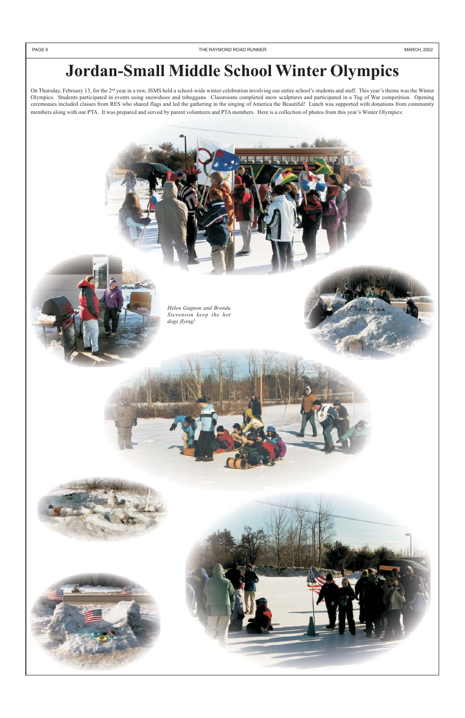# **Jordan-Small Middle School Winter Olympics**

On Thursday, February 13, for the 2<sup>nd</sup> year in a row, JSMS held a school-wide winter celebration involving our entire school's students and staff. This year's theme was the Winter Olympics. Students participated in events using snowshoes and toboggans. Classrooms completed snow sculptures and participated in a Tug of War competition. Opening ceremonies included classes from RES who shared flags and led the gathering in the singing of America the Beautiful! Lunch was supported with donations from community members along with our PTA. It was prepared and served by parent volunteers and PTA members. Here is a collection of photos from this year's Winter Olympics:





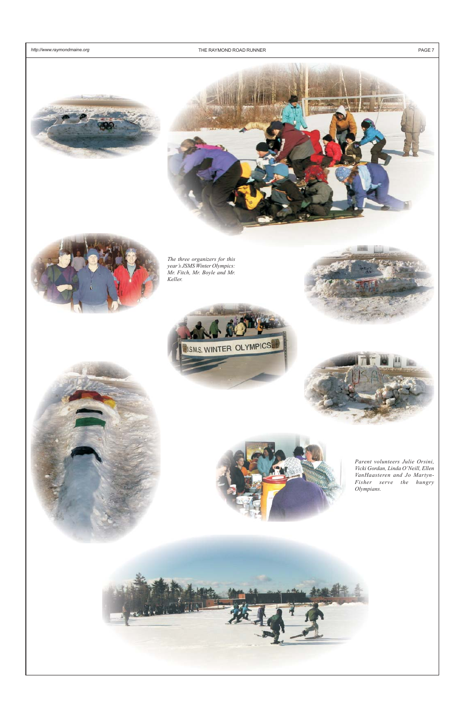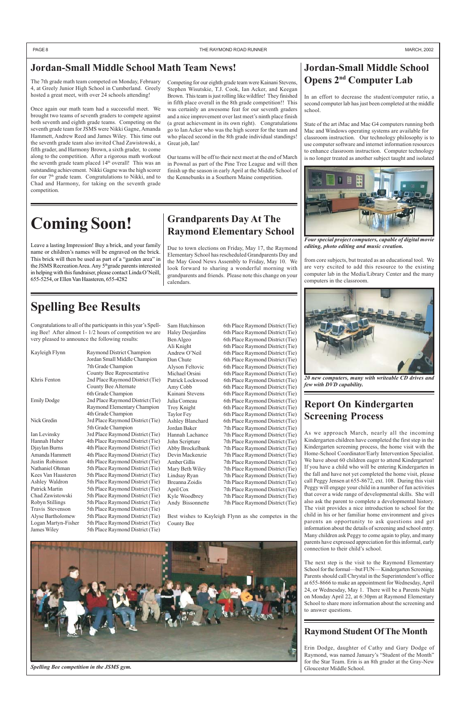# **Spelling Bee Results**

Congratulations to all of the participants in this year's Spelling Bee! After almost 1- 1/2 hours of competition we are very pleased to announce the following results:

| Kayleigh Flynn      | Raymond District Champion        |
|---------------------|----------------------------------|
|                     | Jordan Small Middle Champion     |
|                     | 7th Grade Champion               |
|                     | County Bee Representative        |
| Khris Fenton        | 2nd Place Raymond District (Tie) |
|                     | County Bee Alternate             |
|                     | 6th Grade Champion               |
| <b>Emily Dodge</b>  | 2nd Place Raymond District (Tie) |
|                     | Raymond Elementary Champion      |
|                     | 4th Grade Champion               |
| Nick Gredin         | 3rd Place Raymond District (Tie) |
|                     | 5th Grade Champion               |
| Ian Levinsky        | 3rd Place Raymond District (Tie) |
| Hannah Huber        | 4th Place Raymond District (Tie) |
| Djaylan Burns       | 4th Place Raymond District (Tie) |
| Amanda Hammett      | 4th Place Raymond District (Tie) |
| Justin Robinson     | 4th Place Raymond District (Tie) |
| Nathaniel Ohman     | 5th Place Raymond District (Tie) |
| Kees Van Haasteren  | 5th Place Raymond District (Tie) |
| Ashley Waldron      | 5th Place Raymond District (Tie) |
| Patrick Martin      | 5th Place Raymond District (Tie) |
| Chad Zawistowski    | 5th Place Raymond District (Tie) |
| Robyn Stillings     | 5th Place Raymond District (Tie) |
| Travis Stevenson    | 5th Place Raymond District (Tie) |
| Alyse Bartholomew   | 5th Place Raymond District (Tie) |
| Logan Martyn-Fisher | 5th Place Raymond District (Tie) |

# **Jordan-Small Middle School Opens 2nd Computer Lab**

In an effort to decrease the student/computer ratio, a second computer lab has just been completed at the middle school.

State of the art iMac and Mac G4 computers running both Mac and Windows operating systems are available for classroom instruction. Our technology philosophy is to use computer software and internet information resources to enhance classroom instruction. Computer technology is no longer treated as another subject taught and isolated

from core subjects, but treated as an educational tool. We are very excited to add this resource to the existing computer lab in the Media/Library Center and the many computers in the classroom.

# **Raymond Student Of The Month**

Erin Dodge, daughter of Cathy and Gary Dodge of Raymond, was named January's "Student of the Month" for the Star Team. Erin is an 8th grader at the Gray-New Gloucester Middle School.

# **Grandparents Day At The Raymond Elementary School**

Due to town elections on Friday, May 17, the Raymond Elementary School has rescheduled Grandparents Day and the May Good News Assembly to Friday, May 10. We look forward to sharing a wonderful morning with grandparents and friends. Please note this change on your calendars.

# **Report On Kindergarten Screening Process**

Sam Hutchinson 6th Place Raymond District (Tie) Haley Desjardins 6th Place Raymond District (Tie) Ben Algeo 6th Place Raymond District (Tie) Ali Knight 6th Place Raymond District (Tie) Andrew O'Neil 6th Place Raymond District (Tie) Dan Chute 6th Place Raymond District (Tie) Alyson Feltovic 6th Place Raymond District (Tie) Michael Orsini 6th Place Raymond District (Tie) Patrick Lockwood 6th Place Raymond District (Tie) Amy Cobb 6th Place Raymond District (Tie) Kainani Stevens 6th Place Raymond District (Tie) Julia Comeau 6th Place Raymond District (Tie) Troy Knight 6th Place Raymond District (Tie) Taylor Fey 6th Place Raymond District (Tie) Ashley Blanchard 6th Place Raymond District (Tie) Jordan Baker 7th Place Raymond District (Tie) Hannah Lachance 7th Place Raymond District (Tie) John Scripture 7th Place Raymond District (Tie) Abby Brockelbank 7th Place Raymond District (Tie) Devin Mackenzie 7th Place Raymond District (Tie) Amber Gillis 7th Place Raymond District (Tie) Mary Beth Wiley 7th Place Raymond District (Tie) Lindsay Ryan 7th Place Raymond District (Tie) Breanna Zoidis 7th Place Raymond District (Tie) April Cox 7th Place Raymond District (Tie) Kyle Woodbrey 7th Place Raymond District (Tie) Andy Bissonnette 7th Place Raymond District (Tie)

As we approach March, nearly all the incoming Kindergarten children have completed the first step in the Kindergarten screening process, the home visit with the Home-School Coordinator/Early Intervention Specialist. We have about 60 children eager to attend Kindergarten! If you have a child who will be entering Kindergarten in the fall and have not yet completed the home visit, please call Peggy Jensen at 655-8672, ext. 108. During this visit Peggy will engage your child in a number of fun activities that cover a wide range of developmental skills. She will also ask the parent to complete a developmental history. The visit provides a nice introduction to school for the child in his or her familiar home environment and gives parents an opportunity to ask questions and get information about the details of screening and school entry. Many children ask Peggy to come again to play, and many parents have expressed appreciation for this informal, early connection to their child's school.

James Wiley 5th Place Raymond District (Tie)



The next step is the visit to the Raymond Elementary School for the formal—but FUN— Kindergarten Screening. Parents should call Chrystal in the Superintendent's office at 655-8666 to make an appointment for Wednesday, April 24, or Wednesday, May 1. There will be a Parents Night on Monday April 22, at 6:30pm at Raymond Elementary School to share more information about the screening and to answer questions.

PAGE 8 THE RAYMOND ROAD RUNNER THE RAYMOND ROAD RUNNER THE RAYMOND ROAD RUNNER THE RAYMOND ROAD RUNNER

# **Jordan-Small Middle School Math Team News!**

# **Coming Soon!**

Leave a lasting Impression! Buy a brick, and your family name or children's names will be engraved on the brick. This brick will then be used as part of a "garden area" in the JSMS Recreation Area. Any 5<sup>th</sup>grade parents interested in helping with this fundraiser, please contact Linda O'Neill, 655-5254, or Ellen Van Haasteren, 655-4282

> Best wishes to Kayleigh Flynn as she competes in the County Bee

The 7th grade math team competed on Monday, February 4, at Greely Junior High School in Cumberland. Greely hosted a great meet, with over 24 schools attending!

Once again our math team had a successful meet. We brought two teams of seventh graders to compete against both seventh and eighth grade teams. Competing on the seventh grade team for JSMS were Nikki Gagne, Amanda Hammett, Andrew Reed and James Wiley. This time out the seventh grade team also invited Chad Zawistowski, a fifth grader, and Harmony Brown, a sixth grader, to come along to the competition. After a rigorous math workout the seventh grade team placed  $14<sup>th</sup>$  overall! This was an outstanding achievement. Nikki Gagne was the high scorer for our 7<sup>th</sup> grade team. Congratulations to Nikki, and to Chad and Harmony, for taking on the seventh grade competition.

Competing for our eighth grade team were Kainani Stevens, Stephen Wisutskie, T.J. Cook, Ian Acker, and Keegan Brown. This team is just rolling like wildfire! They finished in fifth place overall in the 8th grade competition!! This was certainly an awesome feat for our seventh graders and a nice improvement over last meet's ninth place finish (a great achievement in its own right). Congratulations go to Ian Acker who was the high scorer for the team and who placed second in the 8th grade individual standings! Great job, Ian!

Our teams will be off to their next meet at the end of March in Pownal as part of the Pine Tree League and will then finish up the season in early April at the Middle School of the Kennebunks in a Southern Maine competition.

*Spelling Bee competition in the JSMS gym.*



*20 new computers, many with writeable CD drives and few with DVD capability.*



*Four special project computers, capable of digital movie editing, photo editing and music creation.*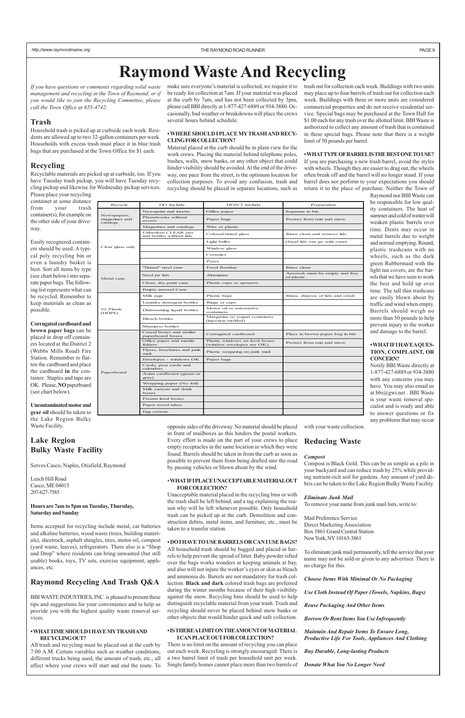Newspapers,<br>magazines and magazines and catalogs

Clear glass

Phonebooks without

Magazines and catalogs Wire or plastic

Metal cans

#2 Plastic (HDPE)

Paperboar

| only | Unbroken CLEAR jars<br>and bottles without lids | Colored/tinted glass                                        | Rinse clean and remove lids                   |
|------|-------------------------------------------------|-------------------------------------------------------------|-----------------------------------------------|
|      |                                                 | Light bulbs                                                 | (Steel lids can go with cans)                 |
|      |                                                 | Window glass                                                |                                               |
|      |                                                 | Ceramics                                                    |                                               |
|      |                                                 | Pyrex                                                       |                                               |
|      | "Tinned" steel cans                             | Food Residue                                                | Rinse clean                                   |
|      | Steel jar lids                                  | Aluminum                                                    | Aerosols must be empty and free<br>of plastic |
|      | Clean, dry paint cans                           | Plastic caps or sprayers                                    |                                               |
|      | Empty aerosol Cans                              |                                                             |                                               |
|      | Milk jugs                                       | Plastic bags                                                | Rinse, dispose of lids and crush              |
|      | Laundry detergent bottles                       | Rings or caps                                               |                                               |
|      | Dishwashing liquid bottles                      | Motor oil or automotive<br>containers                       |                                               |
|      | <b>Bleach bottles</b>                           | Margarine or yogurt containers<br>(injection molded)        |                                               |
|      | Shampoo bottles                                 |                                                             |                                               |
|      | Cereal boxes and similar<br>paperboard boxes    | Corrugated cardboard                                        | Place in brown paper bag in bin               |
|      | Office paper and manila<br>folders              | Plastic windows on food boxes<br>(window envelopes are OK). | Protect from rain and snow                    |
|      | Flyers, brochures and junk<br>mail              | Plastic wrapping on junk mail                               |                                               |
|      | Envelopes - windows OK                          | Paper bags                                                  |                                               |
| d    | Cards, post cards and<br>calendars              |                                                             |                                               |
|      | Asian cardboard (green or<br>gray)              |                                                             |                                               |
|      | Wrapping paper (No foil)                        |                                                             |                                               |
|      | Milk cartons and drink<br>boxes                 |                                                             |                                               |
|      | Frozen food boxes                               |                                                             |                                               |
|      | Paper towel tubes                               |                                                             |                                               |
|      | Egg cartons                                     |                                                             |                                               |

*If you have questions or comments regarding solid waste management and recycling in the Town of Raymond, or if you would like to join the Recycling Committee, please call the Town Office at 655-4742.*

#### **Trash**

Household trash is picked up at curbside each week. Residents are allowed up to two 32-gallon containers per week. Households with excess trash must place it in blue trash bags that are purchased at the Town Office for \$1 each.

### **Recycling**

Recyclable materials are picked up at curbside, too. If you have Tuesday trash pickup, you will have Tuesday recycling pickup and likewise for Wednesday pickup services. Please place your recycling

container at some distance from your trash container(s), for example on the other side of your driveway.

Easily recognized containers should be used. A typical poly recycling bin or even a laundry basket is best. Sort all items by type (see chart below) into separate paper bags. The following list represents what can be recycled. Remember to keep materials as clean as possible.

**Corrugated cardboard and brown paper bags** can be placed in drop off containers located at the District 2 (Webbs Mills Road) Fire Station. Remember to flatten the cardboard and place the cardboard **in** the container. Staples and tape are OK. Please, **NO** paperboard (see chart below).

**Uncontaminated motor and gear oil** should be taken to the Lake Region Bulky Waste Facility.

## **Lake Region Bulky Waste Facility**

Serves Casco, Naples, Otisfield, Raymond

Leach Hill Road Casco, ME 04015 207-627-7585

#### **Hours are 7am to 5pm on Tuesday, Thursday, Saturday and Sunday**

Items accepted for recycling include metal, car batteries and alkaline batteries, wood waste (trees, building materials), sheetrock, asphalt shingles, tires, motor oil, compost (yard waste, leaves), refrigerators. There also is a "Shop and Drop" where residents can bring unwanted (but still usable) books, toys, TV sets, exercise equipment, appliances, etc.

## **Raymond Recycling And Trash Q&A**

BBI WASTE INDUSTRIES, INC. is pleased to present these tips and suggestions for your convenience and to help us provide you with the highest quality waste removal services.

#### **• WHAT TIME SHOULD I HAVE MY TRASH AND RECYCLING OUT?**

All trash and recycling must be placed out at the curb by 7:00 A.M. Certain variables such as weather conditions, different trucks being used, the amount of trash, etc., all affect where your crews will start and end the route. To

make sure everyone's material is collected, we require it to be ready for collection at 7am. If your material was placed at the curb by 7am, and has not been collected by 3pm, please call BBI directly at 1-877-427-6889 or 934-3880. Occasionally, bad weather or breakdowns will place the crews several hours behind schedule.

#### **• WHERE SHOULD I PLACE MY TRASH AND RECY-CLING FOR COLLECTION?**

Material placed at the curb should be in plain view for the work crews. Placing the material behind telephone poles, bushes, walls, snow banks, or any other object that could hinder visibility should be avoided. At the end of the driveway, one pace from the street, is the optimum location for collection purposes. To avoid any confusion, trash and recycling should be placed in separate locations, such as

Recycle DO Include DON'T Include Preparation

Newsprint and inserts Office paper Separate in bin

Paper bags Protect from rain and snow

opposite sides of the driveway. No material should be placed in front of mailboxes as this hinders the postal workers. Every effort is made on the part of your crews to place empty receptacles in the same location in which they were found. Barrels should be taken in from the curb as soon as possible to prevent them from being drafted into the road by passing vehicles or blown about by the wind.

#### • **WHAT IF I PLACE UNACCEPTABLE MATERIAL OUT FOR COLLECTION?**

Unacceptable material placed in the recycling bins or with the trash shall be left behind, and a tag explaining the reason why will be left whenever possible. Only household trash can be picked up at the curb. Demolition and construction debris, metal items, and furniture, etc., must be

taken to a transfer station.

#### **• DO I HAVE TO USE BARRELS OR CAN I USE BAGS?**

All household trash should be bagged and placed in barrels to help prevent the spread of litter. Baby powder sifted over the bags works wonders at keeping animals at bay, and also will not injure the worker's eyes or skin as bleach and ammonia do. Barrels are not mandatory for trash collection. **Black and dark** colored trash bags are preferred during the winter months because of their high visibility against the snow. Recycling bins should be used to help distinguish recyclable material from your trash. Trash and recycling should never be placed behind snow banks or other objects that would hinder quick and safe collection.

#### **• IS THERE A LIMIT ON THE AMOUNT OF MATERIAL I CAN PLACE OUT FOR COLLECTION?**

There is no limit on the amount of recycling you can place out each week. Recycling is strongly encouraged. There is a two barrel limit of trash per household unit per week. Single family homes cannot place more than two barrels of trash out for collection each week. Buildings with two units may place up to four barrels of trash out for collection each week. Buildings with three or more units are considered commercial properties and do not receive residential service. Special bags may be purchased at the Town Hall for \$1.00 each for any trash over the allotted limit. BBI Waste is authorized to collect any amount of trash that is contained in these special bags. Please note that there is a weight limit of 50 pounds per barrel.

#### **• WHAT TYPE OF BARREL IS THE BEST ONE TO USE?**

If you are purchasing a new trash barrel, avoid the styles with wheels. Though they are easier to drag out, the wheels often break off and the barrel will no longer stand. If your barrel does not perform to your expectations you should return it to the place of purchase. Neither the Town of

Raymond nor BBI Waste can be responsible for low quality containers. The heat of summer and cold of winter will weaken plastic barrels over time. Dents may occur in metal barrels due to weight and normal emptying. Round, plastic trashcans with no wheels, such as the dark green Rubbermaid with the light tan covers, are the barrels that we have seen to work the best and hold up over time. The tall thin trashcans are easily blown about by traffic and wind when empty. Barrels should weigh no more than 50 pounds to help prevent injury to the worker and damage to the barrel.

#### **• WHAT IF I HAVE A QUES-TION, COMPLAINT, OR CONCERN?**

Notify BBI Waste directly at 1-877-427-6889 or 934-3880 with any concerns you may have. You may also email us at bbi@gwi.net . BBI Waste is your waste removal specialist and is ready and able to answer questions or fix any problems that may occur

with your waste collection.

### **Reducing Waste**

#### *Compost*

Compost is Black Gold. This can be as simple as a pile in your backyard and can reduce trash by 25% while providing nutrient-rich soil for gardens. Any amount of yard debris can be taken to the Lake Region Bulky Waste Facility.

#### *Eliminate Junk Mail*

To remove your name from junk mail lists, write to:

Mail Preference Service Direct Marketing Association

#### Box 3861 Grand Central Station New York, NY 10163-3861

To eliminate junk mail permanently, tell the service that your name may not be sold or given to any advertiser. There is no charge for this.

*Choose Items With Minimal Or No Packaging*

*Use Cloth Instead Of Paper (Towels, Napkins, Bags)*

*Reuse Packaging And Other Items*

*Borrow Or Rent Items You Use Infrequently*

*Maintain And Repair Items To Ensure Long, Productive Life For Tools, Appliances And Clothing*

*Buy Durable, Long-lasting Products*

*Donate What You No Longer Need*

# **Raymond Waste And Recycling**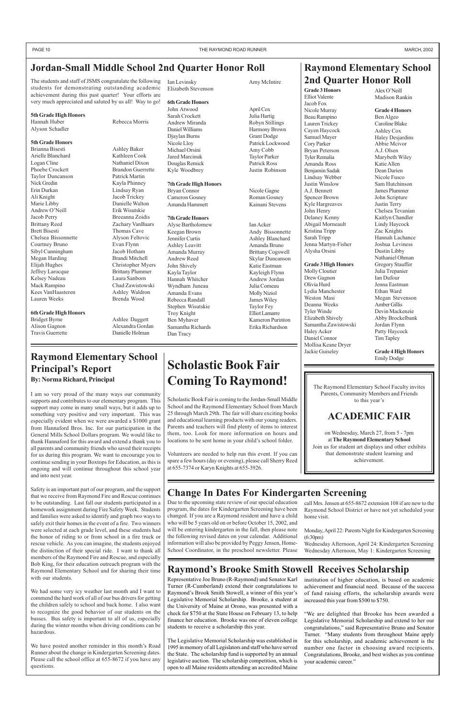# **Scholastic Book Fair Coming To Raymond!**

Scholastic Book Fair is coming to the Jordan-Small Middle School and the Raymond Elementary School from March 25 through March 29th. The fair will share exciting books and educational learning products with our young readers. Parents and teachers will find plenty of items to interest them, too. Look for more information on hours and locations to be sent home in your child's school folder.

Volunteers are needed to help run this event. If you can spare a few hours (day or evening), please call Sherry Reed at 655-7374 or Karyn Knights at 655-3926.

# **Jordan-Small Middle School 2nd Quarter Honor Roll**

# **Change In Dates For Kindergarten Screening**

# **Raymond's Brooke Smith Stowell Receives Scholarship**

# **Raymond Elementary School 2nd Quarter Honor Roll**

# **Raymond Elementary School Principal's Report By: Norma Richard, Principal**

I am so very proud of the many ways our community supports and contributes to our elementary program. This support may come in many small ways, but it adds up to something very positive and very important. This was especially evident when we were awarded a \$1000 grant from Hannaford Bros. Inc. for our participation in the General Mills School Dollars program. We would like to thank Hannaford for this award and extend a thank you to all parents and community friends who saved their receipts for us during this program. We want to encourage you to continue sending in your Boxtops for Education, as this is ongoing and will continue throughout this school year and into next year.

Safety is an important part of our program, and the support that we receive from Raymond Fire and Rescue continues to be outstanding. Last fall our students participated in a homework assignment during Fire Safety Week. Students and families were asked to identify and graph two ways to safely exit their homes in the event of a fire. Two winners were selected at each grade level, and these students had the honor of riding to or from school in a fire truck or rescue vehicle. As you can imagine, the students enjoyed the distinction of their special ride. I want to thank all members of the Raymond Fire and Rescue, and especially Bob King, for their education outreach program with the Raymond Elementary School and for sharing their time with our students.

We had some very icy weather last month and I want to commend the hard work of all of our bus drivers for getting the children safely to school and back home. I also want to recognize the good behavior of our students on the busses. Bus safety is important to all of us, especially during the winter months when driving conditions can be hazardous.

We have posted another reminder in this month's Road Runner about the change in Kindergarten Screening dates. Please call the school office at 655-8672 if you have any questions.

The students and staff of JSMS congratulate the following students for demonstrating outstanding academic achievement during this past quarter! Your efforts are very much appreciated and saluted by us all! Way to go!

#### **5th Grade High Honors**

Hannah Huber Rebecca Morris Alyson Schadler

#### **5th Grade Honors**

Bryan Connor Nicole Gagne Cameron Gosney Roman Gosney Amanda Hammett Kainani Stevens

Brianna Bisesti Ashley Baker Arielle Blanchard Kathleen Cook Logan Cline Nathaniel Dixon Phoebe Crockett Brandon Guerrette Taylor Duncanson Patrick Martin Nick Gredin Kayla Phinney Erin Durkan Lindsay Ryan Ali Knight Jacob Trickey Marie Libby Danielle Walton Andrew O'Neill Erik Wisutskie Jacob Perry Breeanna Zoidis Brittany Reed Zachary VanBaars Brett Bisesti Thomas Cave Chelsea Bissonnette Alyson Feltovic Courtney Bruno Evan Flynn Sibyl Cunningham Jacob Hotham Megan Harding Brandi Mitchell Elijah Hughes Christopher Myers Jeffrey Larocque Brittany Plummer Kelsey Nadeau Laura Sanborn Mack Rampino Chad Zawistowski Kees VanHaasteren Ashley Waldron Lauren Weeks Brenda Wood

### **6th Grade High Honors**

Bridget Byrne Ashlee Daggett Alison Gagnon Alexandra Gordan Travis Guerrette Danielle Holman

> Due to the upcoming state review of our special education program, the dates for Kindergarten Screening have been changed. If you are a Raymond resident and have a child who will be 5 years old on or before October 15, 2002, and will be entering kindergarten in the fall, then please note the following revised dates on your calendar. Additional information will also be provided by Peggy Jensen, Home-School Coordinator, in the preschool newsletter. Please

call Mrs. Jensen at 655-8672 extension 108 if are new to the Raymond School District or have not yet scheduled your home visit.

Monday, April 22: Parents Night for Kindergarten Screening (6:30pm)

Wednesday Afternoon, April 24: Kindergarten Screening Wednesday Afternoon, May 1: Kindergarten Screening

Representative Joe Bruno (R-Raymond) and Senator Karl Turner (R-Cumberland) extend their congratulations to Raymond's Brook Smith Stowell, a winner of this year's Legislative Memorial Scholarship. Brooke, a student at the University of Maine at Orono, was presented with a check for \$750 at the State House on February 13, to help finance her education. Brooke was one of eleven college students to receive a scholarship this year.

The Legislative Memorial Scholarship was established in 1995 in memory of all Legislators and staff who have served the State. The scholarship fund is supported by an annual legislative auction. The scholarship competition, which is open to all Maine residents attending an accredited Maine institution of higher education, is based on academic achievement and financial need. Because of the success of fund raising efforts, the scholarship awards were increased this year from \$500 to \$750.

"We are delighted that Brooke has been awarded a Legislative Memorial Scholarship and extend to her our congratulations," said Representative Bruno and Senator Turner. "Many students from throughout Maine apply for this scholarship, and academic achievement is the number one factor in choosing award recipients. Congratulations, Brooke, and best wishes as you continue your academic career."

The Raymond Elementary School Faculty invites Parents, Community Members and Friends to this year's

# **ACADEMIC FAIR**

on Wednesday, March 27, from 5 - 7pm at **The Raymond Elementary School** Join us for student art displays and other exhibits that demonstrate student learning and achievement.

Ian Levinsky Amy McIntire Elizabeth Stevenson

#### **6th Grade Honors**

John Atwood April Cox Sarah Crockett Julia Hartig Andrew Miranda Robyn Stillings Daniel Williams Harmony Brown Djaylan Burns Grant Dodge Nicole Lloy Patrick Lockwood Michael Orsini Amy Cobb Jared Marcinuk Taylor Parker Douglas Remick Patrick Ross Kyle Woodbrey Justin Robinson

#### **7th Grade High Honors**

#### **7th Grade Honors**

Alyse Bartholomew Ian Acker Keegan Brown Andy Bissonnette Jennifer Curtis Ashley Blanchard Ashley Leavitt Amanda Bruno Amanda Murray Brittany Cogswell Andrew Reed Skylar Duncanson John Shively Katie Eastman Kayla Taylor Kayleigh Flynn Hannah Whitcher Andrew Jordan Wyndham Juneau Julia Comeau Amanda Evans Molly Niziol Rebecca Randall James Wiley Stephen Wisutskie Taylor Fey Troy Knight Elliot Lamarre Ben Myhaver Kameron Purinton Samantha Richards Erika Richardson Dan Tracy

**Grade 3 Honors** Elliot Valente Jacob Fox Nicole Murray Beau Rampino Lauren Trickey Cayen Haycock Samuel Mayer Cory Parker Bryan Peterson Tyler Remalia Amanda Ross Benjamin Sadak Lindsay Webber Justin Winslow A.J. Bennett Spencer Brown Kyle Hargreaves John Henry Delaney Kenny Abigail Morneault Kristina Tripp Sarah Tripp

Jenna Martyn-Fisher Alysha Orsini

**Grade 3 High Honors** Molly Cloutier Drew Gagnon Olivia Hurd Lydia Manchester Weston Masi Deanna Weeks Tyler Winde Elizabeth Shively Samantha Zawistowski

Haley Acker Daniel Connor Mollisa Keane Dryer Jackie Guiseley

Alex O'Neill Madison Rankin

#### **Grade 4 Honors**

Ben Algeo Caroline Blake Ashley Cox Haley Desjardins Abbie Mcivor A.J. Olsen Marybeth Wiley Katie Allen Dean Darien Nicole Fusco Sam Hutchinson James Plummer John Scripture Justin Terry Chelsea Tevanian Kaitlyn Chandler Lindy Haycock Zac Knights Hannah Lachance Joshua Leviness Dustin Libby Nathaniel Ohman Gregory Stauffer Julia Trepanier Ian Dufour Jenna Eastman Ethan Ward Megan Stevenson Amber Gillis Devin Mackenzie Abby Brockelbank Jordan Flynn Patty Haycock Tim Tapley

**Grade 4 High Honors** Emily Dodge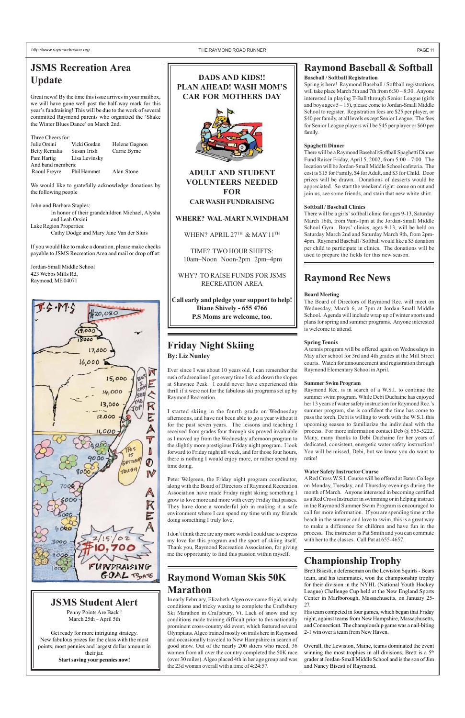# **Raymond Baseball & Softball**

### **Baseball / Softball Registration**

Spring is here! Raymond Baseball / Softball registrations will take place March 5th and 7th from  $6:30 - 8:30$ . Anyone interested in playing T-Ball through Senior League (girls and boys ages 5 – 15), please come to Jordan-Small Middle School to register. Registration fees are \$25 per player, or \$40 per family, at all levels except Senior League. The fees for Senior League players will be \$45 per player or \$60 per family.

#### **Spaghetti Dinner**

There will be a Raymond Baseball/Softball Spaghetti Dinner Fund Raiser Friday, April 5, 2002, from 5:00 – 7:00. The location will be Jordan-Small Middle School cafeteria. The cost is \$15 for Family, \$4 for Adult, and \$3 for Child. Door prizes will be drawn. Donations of desserts would be appreciated. So start the weekend right: come on out and join us, see some friends, and stain that new white shirt.

#### **Softball / Baseball Clinics**

There will be a girls' softball clinic for ages 9-13, Saturday March 16th, from 9am-1pm at the Jordan-Small Middle School Gym. Boys' clinics, ages 9-13, will be held on Saturday March 2nd and Saturday March 9th, from 2pm-4pm. Raymond Baseball / Softball would like a \$5 donation per child to participate in clinics. The donations will be used to prepare the fields for this new season.

# **Friday Night Skiing By: Liz Nunley**

Ever since I was about 10 years old, I can remember the rush of adrenaline I got every time I skied down the slopes at Shawnee Peak. I could never have experienced this thrill if it were not for the fabulous ski programs set up by Raymond Recreation.

I started skiing in the fourth grade on Wednesday afternoons, and have not been able to go a year without it for the past seven years. The lessons and teaching I received from grades four through six proved invaluable as I moved up from the Wednesday afternoon program to the slightly more prestigious Friday night program. I look forward to Friday night all week, and for those four hours, there is nothing I would enjoy more, or rather spend my time doing.

Peter Walgreen, the Friday night program coordinator, along with the Board of Directors of Raymond Recreation Association have made Friday night skiing something I grow to love more and more with every Friday that passes. They have done a wonderful job in making it a safe environment where I can spend my time with my friends doing something I truly love.

I don't think there are any more words I could use to express my love for this program and the sport of skiing itself. Thank you, Raymond Recreation Association, for giving me the opportunity to find this passion within myself.

# **Raymond Rec News**

#### **Board Meeting**

The Board of Directors of Raymond Rec. will meet on Wednesday, March 6, at 7pm at Jordan-Small Middle School. Agenda will include wrap up of winter sports and plans for spring and summer programs. Anyone interested is welcome to attend.

#### **Spring Tennis**

A tennis program will be offered again on Wednesdays in May after school for 3rd and 4th grades at the Mill Street courts. Watch for announcement and registration through Raymond Elementary School in April.

#### **Summer Swim Program**

Raymond Rec. is in search of a W.S.I. to continue the summer swim program. While Debi Duchaine has enjoyed her 13 years of water safety instruction for Raymond Rec.'s summer program, she is confident the time has come to pass the torch. Debi is willing to work with the W.S.I. this upcoming season to familiarize the individual with the process. For more information contact Deb @ 655-5222. Many, many thanks to Debi Duchaine for her years of dedicated, consistent, energetic water safety instruction! You will be missed, Debi, but we know you do want to retire!

#### **Water Safety Instructor Course**

A Red Cross W.S.I. Course will be offered at Bates College on Monday, Tuesday, and Thursday evenings during the month of March. Anyone interested in becoming certified as a Red Cross Instructor in swimming or in helping instruct in the Raymond Summer Swim Program is encouraged to call for more information. If you are spending time at the beach in the summer and love to swim, this is a great way to make a difference for children and have fun in the process. The instructor is Pat Smith and you can commute with her to the classes. Call Pat at 655-4657.



# **DADS AND KIDS!! PLAN AHEAD! WASH MOM'S CAR FOR MOTHERS DAY**



**ADULT AND STUDENT VOLUNTEERS NEEDED FOR CAR WASH FUNDRAISING**

### **WHERE? WAL-MART N.WINDHAM**

WHEN? APRIL 27TH & MAY 11TH

TIME? TWO HOUR SHIFTS: 10am–Noon Noon-2pm 2pm–4pm

WHY? TO RAISE FUNDS FOR JSMS RECREATION AREA

**Call early and pledge your support to help! Diane Shively - 655 4766 P.S Moms are welcome, too.**

*http://www.raymondmaine.org* PAGE 11

# **JSMS Recreation Area Update**

Great news! By the time this issue arrives in your mailbox, we will have gone well past the half-way mark for this year's fundraising! This will be due to the work of several committed Raymond parents who organized the 'Shake the Winter Blues Dance' on March 2nd.

| Three Cheers for:        |               |               |  |  |  |
|--------------------------|---------------|---------------|--|--|--|
| Julie Orsini             | Vicki Gordan  | Helene Gagnon |  |  |  |
| Betty Remalia            | Susan Irish   | Carrie Byrne  |  |  |  |
| Pam Hartig               | Lisa Levinsky |               |  |  |  |
| And band members:        |               |               |  |  |  |
| Raoul Freyre Phil Hammet |               | Alan Stone    |  |  |  |
|                          |               |               |  |  |  |

We would like to gratefully acknowledge donations by the following people

John and Barbara Staples:

In honor of their grandchildren Michael, Alysha and Leah Orsini

Lake Region Properties: Cathy Dodge and Mary Jane Van der Sluis

If you would like to make a donation, please make checks payable to JSMS Recreation Area and mail or drop off at:

Jordan-Small Middle School 423 Webbs Mills Rd, Raymond, ME 04071



# **Raymond Woman Skis 50K Marathon**

In early February, Elizabeth Algeo overcame frigid, windy conditions and tricky waxing to complete the Craftsbury Ski Marathon in Craftsbury, Vt. Lack of snow and icy conditions made training difficult prior to this nationally prominent cross-country ski event, which featured several Olympians. Algeo trained mostly on trails here in Raymond and occasionally traveled to New Hampshire in search of good snow. Out of the nearly 200 skiers who raced, 36 women from all over the country completed the 50K race (over 30 miles). Algeo placed 4th in her age group and was the 23d woman overall with a time of 4:24:57.

# **Championship Trophy**

Brett Bisesti, a defenseman on the Lewiston Squirts - Bears team, and his teammates, won the championship trophy for their division in the NYHL (National Youth Hockey League) Challenge Cup held at the New England Sports Center in Marlborough, Massachusetts, on January 25- 27.

His team competed in four games, which began that Friday night, against teams from New Hampshire, Massachusetts, and Connecticut. The championship game was a nail-biting 2-1 win over a team from New Haven.

Overall, the Lewiston, Maine, teams dominated the event winning the most trophies in all divisions. Brett is a 5<sup>th</sup> grader at Jordan-Small Middle School and is the son of Jim and Nancy Bisesti of Raymond.

# **JSMS Student Alert**

Penny Points Are Back ! March 25th – April 5th

Get ready for more intriguing strategy. New fabulous prizes for the class with the most points, most pennies and largest dollar amount in their jar. **Start saving your pennies now!**